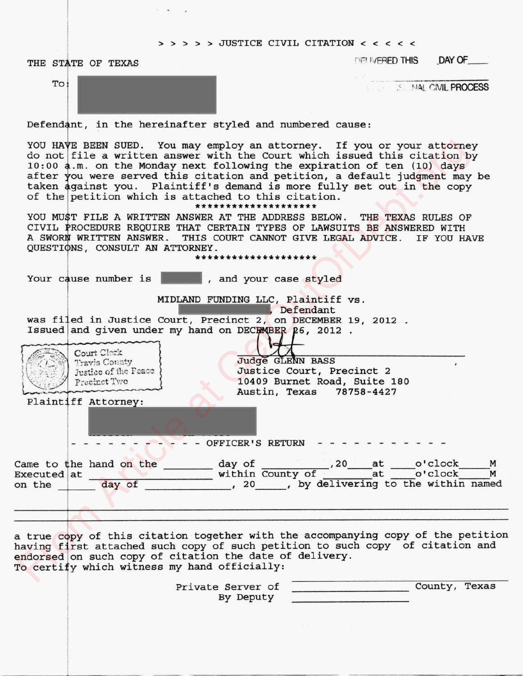#### $>$  > > > JUSTICE CIVIL CITATION < < < < <

THE STATE OF TEXAS "FREED THIS" DAY OF

TO ' NAL CIVIL PROCESS

Defendant, in the hereinafter styled and numbered cause:

| YOU HAVE BEEN SUED. You may employ an attorney. If you or your attorney<br>do not file a written answer with the Court which issued this citation by<br>10:00 a.m. on the Monday next following the expiration of ten (10) days<br>after you were served this citation and petition, a default judgment may be<br>taken against you. Plaintiff's demand is more fully set out in the copy<br>of the petition which is attached to this citation.<br>********************<br>YOU MUST FILE A WRITTEN ANSWER AT THE ADDRESS BELOW. THE TEXAS RULES OF<br>CIVIL PROCEDURE REQUIRE THAT CERTAIN TYPES OF LAWSUITS BE ANSWERED WITH<br>A SWORN WRITTEN ANSWER. THIS COURT CANNOT GIVE LEGAL ADVICE. IF YOU HAVE<br>QUESTIONS, CONSULT AN ATTORNEY.<br>******************** |
|-----------------------------------------------------------------------------------------------------------------------------------------------------------------------------------------------------------------------------------------------------------------------------------------------------------------------------------------------------------------------------------------------------------------------------------------------------------------------------------------------------------------------------------------------------------------------------------------------------------------------------------------------------------------------------------------------------------------------------------------------------------------------|
| Your cause number is<br>, and your case styled                                                                                                                                                                                                                                                                                                                                                                                                                                                                                                                                                                                                                                                                                                                        |
| MIDLAND FUNDING LLC, Plaintiff vs.<br>Defendant                                                                                                                                                                                                                                                                                                                                                                                                                                                                                                                                                                                                                                                                                                                       |
| was filed in Justice Court, Precinct 2, on DECEMBER 19, 2012.                                                                                                                                                                                                                                                                                                                                                                                                                                                                                                                                                                                                                                                                                                         |
| Issued and given under my hand on DECFMBER 26, 2012.                                                                                                                                                                                                                                                                                                                                                                                                                                                                                                                                                                                                                                                                                                                  |
| Court Clerk                                                                                                                                                                                                                                                                                                                                                                                                                                                                                                                                                                                                                                                                                                                                                           |
| <b>Judge GLENN BASS</b><br>Travis County                                                                                                                                                                                                                                                                                                                                                                                                                                                                                                                                                                                                                                                                                                                              |
| Justice Court, Precinct 2<br>Justice of the Feace {                                                                                                                                                                                                                                                                                                                                                                                                                                                                                                                                                                                                                                                                                                                   |
| 10409 Burnet Road, Suite 180<br>Precinct Two                                                                                                                                                                                                                                                                                                                                                                                                                                                                                                                                                                                                                                                                                                                          |
| Austin, Texas 78758-4427                                                                                                                                                                                                                                                                                                                                                                                                                                                                                                                                                                                                                                                                                                                                              |
| Plaintiff Attorney:                                                                                                                                                                                                                                                                                                                                                                                                                                                                                                                                                                                                                                                                                                                                                   |
|                                                                                                                                                                                                                                                                                                                                                                                                                                                                                                                                                                                                                                                                                                                                                                       |
| - OFFICER'S RETURN                                                                                                                                                                                                                                                                                                                                                                                                                                                                                                                                                                                                                                                                                                                                                    |
|                                                                                                                                                                                                                                                                                                                                                                                                                                                                                                                                                                                                                                                                                                                                                                       |
| Came to the hand on the $\frac{day \text{ of}}{within} \frac{720 \text{ at}}{county \text{ of}} \frac{1}{x}$ at $\frac{0' \text{clock}}{x}$ M<br>Executed at                                                                                                                                                                                                                                                                                                                                                                                                                                                                                                                                                                                                          |
| day of 100 x 20 y by delivering to the within named<br>on the $\vert$                                                                                                                                                                                                                                                                                                                                                                                                                                                                                                                                                                                                                                                                                                 |
|                                                                                                                                                                                                                                                                                                                                                                                                                                                                                                                                                                                                                                                                                                                                                                       |
|                                                                                                                                                                                                                                                                                                                                                                                                                                                                                                                                                                                                                                                                                                                                                                       |
|                                                                                                                                                                                                                                                                                                                                                                                                                                                                                                                                                                                                                                                                                                                                                                       |
| a true copy of this citation together with the accompanying copy of the petitic<br>having first attached such copy of such petition to such copy of citation and<br>endorsed on such copy of citation the date of delivery.<br>To certify which witness my hand officially:                                                                                                                                                                                                                                                                                                                                                                                                                                                                                           |
|                                                                                                                                                                                                                                                                                                                                                                                                                                                                                                                                                                                                                                                                                                                                                                       |

> Private Server of County, Texas By Deputy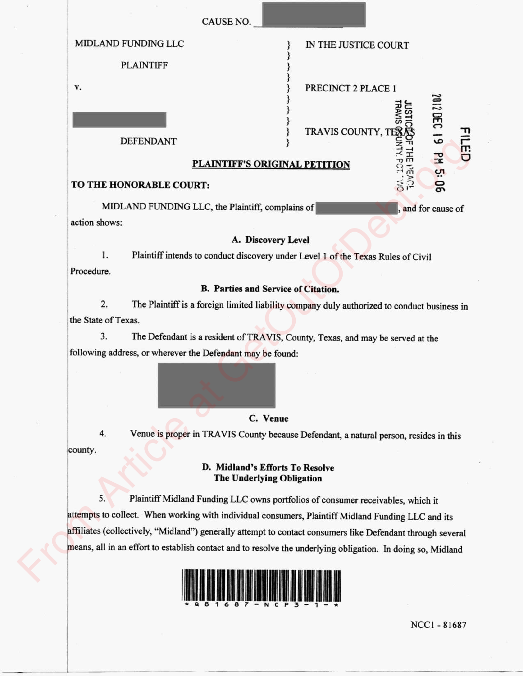|  |                                                                                                                                                                                                                  | CAUSE NO.                                                                             |                      |                                                                                             |  |  |  |
|--|------------------------------------------------------------------------------------------------------------------------------------------------------------------------------------------------------------------|---------------------------------------------------------------------------------------|----------------------|---------------------------------------------------------------------------------------------|--|--|--|
|  | MIDLAND FUNDING LLC                                                                                                                                                                                              |                                                                                       | IN THE JUSTICE COURT |                                                                                             |  |  |  |
|  | <b>PLAINTIFF</b>                                                                                                                                                                                                 |                                                                                       |                      |                                                                                             |  |  |  |
|  | v.                                                                                                                                                                                                               |                                                                                       | PRECINCT 2 PLACE 1   |                                                                                             |  |  |  |
|  |                                                                                                                                                                                                                  |                                                                                       |                      |                                                                                             |  |  |  |
|  | <b>DEFENDANT</b>                                                                                                                                                                                                 |                                                                                       |                      | 2012 DEC 19<br>m,                                                                           |  |  |  |
|  | TRAVIS COUNTY, TENSIS<br>TRAVIS COUNTY, TENSIS<br>ETITION<br>ETITION<br>COUNTY TEND TO THE THE TRAVIS COUNTY<br>COUNTY TENDS TO THE TRAVIS COUNTY<br>PM 5: 06<br>PLAINTIFF'S ORIGINAL PETITION                   |                                                                                       |                      |                                                                                             |  |  |  |
|  | TO THE HONORABLE COURT:                                                                                                                                                                                          |                                                                                       |                      |                                                                                             |  |  |  |
|  |                                                                                                                                                                                                                  | MIDLAND FUNDING LLC, the Plaintiff, complains of                                      |                      | and for cause of                                                                            |  |  |  |
|  | action shows:<br>A. Discovery Level<br>1.<br>Plaintiff intends to conduct discovery under Level 1 of the Texas Rules of Civil                                                                                    |                                                                                       |                      |                                                                                             |  |  |  |
|  |                                                                                                                                                                                                                  |                                                                                       |                      |                                                                                             |  |  |  |
|  | Procedure.                                                                                                                                                                                                       |                                                                                       |                      |                                                                                             |  |  |  |
|  | <b>B. Parties and Service of Citation.</b>                                                                                                                                                                       |                                                                                       |                      |                                                                                             |  |  |  |
|  | 2.                                                                                                                                                                                                               |                                                                                       |                      | The Plaintiff is a foreign limited liability company duly authorized to conduct business in |  |  |  |
|  | the State of Texas.                                                                                                                                                                                              |                                                                                       |                      |                                                                                             |  |  |  |
|  | 3.                                                                                                                                                                                                               | The Defendant is a resident of TRAVIS, County, Texas, and may be served at the        |                      |                                                                                             |  |  |  |
|  | following address, or wherever the Defendant may be found:                                                                                                                                                       |                                                                                       |                      |                                                                                             |  |  |  |
|  |                                                                                                                                                                                                                  |                                                                                       |                      |                                                                                             |  |  |  |
|  |                                                                                                                                                                                                                  | C. Venue                                                                              |                      |                                                                                             |  |  |  |
|  | 4.                                                                                                                                                                                                               | Venue is proper in TRAVIS County because Defendant, a natural person, resides in this |                      |                                                                                             |  |  |  |
|  | county.<br>D. Midland's Efforts To Resolve<br><b>The Underlying Obligation</b>                                                                                                                                   |                                                                                       |                      |                                                                                             |  |  |  |
|  | 5.<br>Plaintiff Midland Funding LLC owns portfolios of consumer receivables, which it                                                                                                                            |                                                                                       |                      |                                                                                             |  |  |  |
|  | attempts to collect. When working with individual consumers, Plaintiff Midland Funding LLC and its<br>affiliates (collectively, "Midland") generally attempt to contact consumers like Defendant through several |                                                                                       |                      |                                                                                             |  |  |  |
|  |                                                                                                                                                                                                                  |                                                                                       |                      |                                                                                             |  |  |  |
|  | means, all in an effort to establish contact and to resolve the underlying obligation. In doing so, Midland                                                                                                      |                                                                                       |                      |                                                                                             |  |  |  |
|  |                                                                                                                                                                                                                  |                                                                                       |                      |                                                                                             |  |  |  |

NCC1 - 81687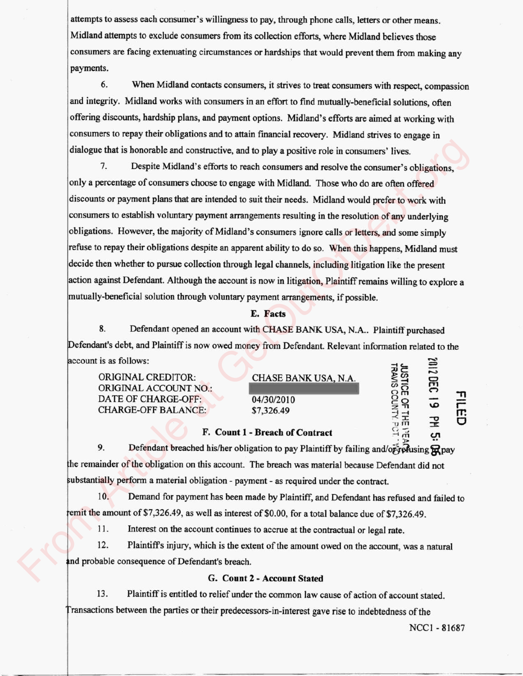attempts to assess each consumer's willingness to pay, through phone calls, letters or other means. Midland attempts to exclude consumers from its collection efforts, where Midland believes those consumers are facing extenuating circumstances or hardships that would prevent them from making any payments.

6. When Midland contacts consumers, it strives to treat consumers with respect, compassion and integrity. Midland works with consumers in an effort to find mutually-beneficial solutions, often offering discounts, hardship plans, and payment options. Midland's efforts are aimed at working with consumers to repay their obligations and to attain financial recovery. Midland strives to engage in dialogue that is honorable and constructive, and to play a positive role in consumers' lives.

7. Despite Midland's efforts to reach consumers and resolve the consumer's obligations, only a percentage of consumers choose to engage with Midland. Those who do are often offered discounts or payment plans that are intended to suit their needs. Midland would prefer to work with consumers to establish voluntary payment arrangements resulting in the resolution of any underlying obligations. However, the majority of Midland's consumers ignore calls or letters, and some simply refuse to repay their obligations despite an apparent ability to do so. When this happens, Midland must decide then whether to pursue collection through legal channels, including litigation like the present action against Defendant. Although the account is now in litigation, Plaintiff remains willing to explore a mutually-beneficial solution through voluntary payment arrangements, if possible. dialogue that is honorable and constructive, and to play a positive role in consumers' lives.<br>
7. Despite Midland's efforts to reach consumers choose to capage with Midland. Those who do are often offered<br>
discounts or pa

### **E. Facts**

8. Defendant opened an account with CHASE BANK USA, N.A.. Plaintiff purchased Defendant's debt, and Plaintiff is now owed money from Defendant. Relevant information related to the account is as follows:

ORIGINAL CREDITOR:<br>
ORIGINAL ACCOUNT NO.:<br>
ORIGINAL ACCOUNT NO.: ORIGINAL ACCOUNT NO.: DATE OF CHARGE-OFF: 04/30/2010 CHARGE-OFF BALANCE: \$7,326.49

#### **F. Count 1- Breach of Contract**

9. Defendant breached his/her obligation to pay Plaintiff by failing and/or-refusing  $\mathbb{R}$  pay the remainder of the obligation on this account. The breach was material because Defendant did not ubstantially perform a material obligation - payment - as required under the contract.

10. Dem and for payment has been made by Plaintiff, and Defendant has refused and failed to remit the amount of \$7,326.49, as well as interest of \$0.00, for a total balance due of \$7,326.49.

11. Interest on the account continues to accrue at the contractual or legal rate.

12. Plaintiff's injury, which is the extent of the amount owed on the account, was a natural and probable consequence of Defendant's breach.

#### **G. Count** 2- **Account Stated**

13. Plaintiff is entitled to relief under the common law cause of action of account stated. ransactions between the parties or their predecessors-in-interest gave rise to indebtedness of the

NCC1 - 81687

**XI Q**

**1j** fTl

**• 0**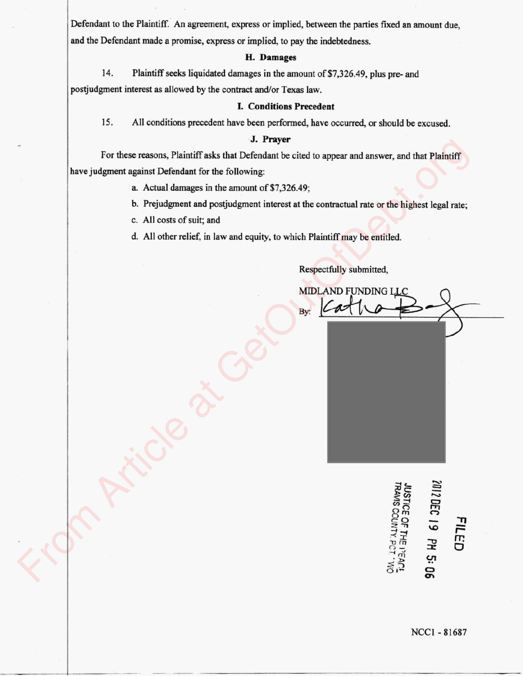Defendant to the Plaintiff. An agreement, express or implied, between the parties fixed an amount due, and the Defendant made a promise, express or implied, to pay the indebtedness.

# **H. Damages**

14. Plaintiff seeks liquidated damages in the amount of \$7,326.49, plus pre- and postjudgment interest as allowed by the contract and/or Texas law.

#### **I. Conditions Precedent**

15. All conditions precedent have been performed, have occurred, or should be excused.

# **J. Prayer**

For these reasons, Plaintiff asks that Defendant be cited to appear and answer, and that Plaintiff have judgment against Defendant for the following: For these reasons, Plaintiff asks that Defendant be cied to appear and answer, and that Plaintiff<br>have judgment at gainst Defendant for the following:<br>a. Actual damages in the amount of \$7,326.49;<br>b. Prejudgment and positu

- a. Actual damages in the amount of \$7,326.49;
- b. Prejudgment and postjudgment interest at the contractual rate or the highest legal rate;
- c. All costs of suit; and
- d. All other relief, in law and equity, to which Plaintiff may be entitled.

Respectfully submitted,

 $\approx$ **C3 ~ - I** r  $\tilde{\mathbb{F}}$   $\tilde{\mathbb{F}}$   $\tilde{\mathbb{F}}$   $\tilde{\mathbb{F}}$  $\vec{c}$   $\vec{r}$   $\vec{r}$   $\vec{c}$ **CR**

**I**

ge

 $\circ$ 

NCC1 - 81687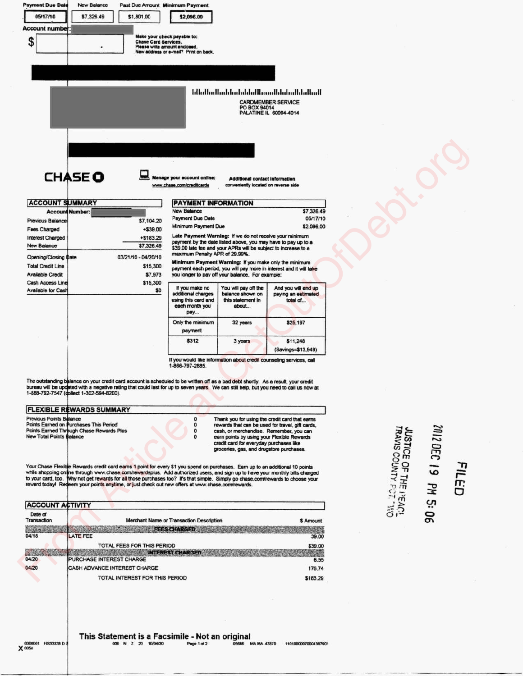| 05/17/10<br>\$7,326.49<br>\$1,801.00<br>\$2,096.00<br>Account number:<br>Make your check payable to:<br>\$<br><b>Chase Card Services.</b><br>Please write amount enclosed.<br>New address or e-mail? Print on back.<br>المنالبنا بالمنابيليا ووميا الواوا وباسلوا وبالوزارات<br><b>CARDMEMBER SERVICE</b><br>PO BOX 94014<br>PALATINE IL 60094-4014<br><b>CHASE O</b><br>Manage your account online:<br><b>Additional contact information</b><br>conveniently located on reverse side<br>www.chase.com/creditcards<br><b>ACCOUNT SUMMARY</b><br><b>PAYMENT INFORMATION</b><br><b>New Balance</b><br>\$7,326.49<br><b>Account Number:</b><br><b>Payment Due Date</b><br>05/17/10<br><b>Previous Balance</b><br>\$7,104.20<br>Minimum Payment Due<br>\$2,096.00<br>$+ $39.00$<br>Fees Charged<br>Late Payment Warning: If we do not receive your minimum<br>+\$183.29<br><b>Interest Charged</b><br>payment by the date listed above, you may have to pay up to a<br>\$7,326.49<br><b>New Balance</b><br>\$39.00 late fee and your APRs will be subject to increase to a<br>maximum Penalty APR of 29.99%.<br>03/21/10 - 04/20/10<br>Opening/Closing Date<br>Minimum Payment Warning: If you make only the minimum<br><b>Total Credit Line</b><br>\$15,300<br>payment each period, you will pay more in interest and it will take<br>\$7,973<br><b>Available Credit</b><br>you longer to pay off your balance. For example:<br>\$15,300<br><b>Cash Access Line</b><br>If you make no<br>You will pay off the<br>And you will end up<br><b>Available for Cash</b><br>\$0<br>additional charges<br>balance shown on<br>paying an estimated<br>using this card and<br>this statement in<br>total of<br>each month you<br>about<br>рау<br>Only the minimum<br>32 years<br>\$25,197<br>payment<br>\$312<br>3 years<br>\$11,248<br>(Savings=\$13,949)<br>If you would like information about credit counseling services, call<br>1-866-797-2885.<br>The outstanding balance on your credit card account is scheduled to be written off as a bad debt shortly. As a result, your credit<br>bureau will be updated with a negative rating that could last for up to seven years. We can still help, but you need to call us now at<br>1-888-792-7547 (dollect 1-302-594-8200).<br><b>FLEXIBLE REWARDS SUMMARY</b><br><b>Previous Points Balance</b><br>o<br>Thank you for using the credit card that earns<br>Points Earned on Purchases This Period<br>0<br>rewards that can be used for travel, gift cards,<br>Points Earned Through Chase Rewards Plus<br><b>JUSTICE OF THE I'EAC</b><br>TRAVIS COUNTY, PCT 'V,<br>0<br>cash, or merchandise. Remember, you can<br><b>New Total Points Balance</b><br>O<br>earn points by using your Flexible Rewards<br>credit card for everyday purchases like<br>groceries, gas, and drugstore purchases.<br>Your Chase Flexible Rewards credit card earns 1 point for every \$1 you spend on purchases. Earn up to an additional 10 points<br>while shopping online through www.chase.com/rewardsplus. Add authorized users, and sign up to have your monthly bills charged<br>to your card, too. Why not get rewards for all those purchases too? It's that simple. Simply go chase.com/rewards to choose your<br>reward today! Redeem your points anytime, or just check out new offers at www.chase.com/rewards.<br><b>ACCOUNT ACTIVITY</b><br>Date of<br>Transaction<br>Merchant Name or Transaction Description<br>\$ Amount<br><b>FEES CHARGED</b> |  |  |  |
|---------------------------------------------------------------------------------------------------------------------------------------------------------------------------------------------------------------------------------------------------------------------------------------------------------------------------------------------------------------------------------------------------------------------------------------------------------------------------------------------------------------------------------------------------------------------------------------------------------------------------------------------------------------------------------------------------------------------------------------------------------------------------------------------------------------------------------------------------------------------------------------------------------------------------------------------------------------------------------------------------------------------------------------------------------------------------------------------------------------------------------------------------------------------------------------------------------------------------------------------------------------------------------------------------------------------------------------------------------------------------------------------------------------------------------------------------------------------------------------------------------------------------------------------------------------------------------------------------------------------------------------------------------------------------------------------------------------------------------------------------------------------------------------------------------------------------------------------------------------------------------------------------------------------------------------------------------------------------------------------------------------------------------------------------------------------------------------------------------------------------------------------------------------------------------------------------------------------------------------------------------------------------------------------------------------------------------------------------------------------------------------------------------------------------------------------------------------------------------------------------------------------------------------------------------------------------------------------------------------------------------------------------------------------------------------------------------------------------------------------------------------------------------------------------------------------------------------------------------------------------------------------------------------------------------------------------------------------------------------------------------------------------------------------------------------------------------------------------------------------------------------------------------------------------------------------------------------------------------------------------------------------------------------------------------------------------------------------------------------------------------------------------------------------------------------------------------------------------------------|--|--|--|
|                                                                                                                                                                                                                                                                                                                                                                                                                                                                                                                                                                                                                                                                                                                                                                                                                                                                                                                                                                                                                                                                                                                                                                                                                                                                                                                                                                                                                                                                                                                                                                                                                                                                                                                                                                                                                                                                                                                                                                                                                                                                                                                                                                                                                                                                                                                                                                                                                                                                                                                                                                                                                                                                                                                                                                                                                                                                                                                                                                                                                                                                                                                                                                                                                                                                                                                                                                                                                                                                                       |  |  |  |
|                                                                                                                                                                                                                                                                                                                                                                                                                                                                                                                                                                                                                                                                                                                                                                                                                                                                                                                                                                                                                                                                                                                                                                                                                                                                                                                                                                                                                                                                                                                                                                                                                                                                                                                                                                                                                                                                                                                                                                                                                                                                                                                                                                                                                                                                                                                                                                                                                                                                                                                                                                                                                                                                                                                                                                                                                                                                                                                                                                                                                                                                                                                                                                                                                                                                                                                                                                                                                                                                                       |  |  |  |
|                                                                                                                                                                                                                                                                                                                                                                                                                                                                                                                                                                                                                                                                                                                                                                                                                                                                                                                                                                                                                                                                                                                                                                                                                                                                                                                                                                                                                                                                                                                                                                                                                                                                                                                                                                                                                                                                                                                                                                                                                                                                                                                                                                                                                                                                                                                                                                                                                                                                                                                                                                                                                                                                                                                                                                                                                                                                                                                                                                                                                                                                                                                                                                                                                                                                                                                                                                                                                                                                                       |  |  |  |
|                                                                                                                                                                                                                                                                                                                                                                                                                                                                                                                                                                                                                                                                                                                                                                                                                                                                                                                                                                                                                                                                                                                                                                                                                                                                                                                                                                                                                                                                                                                                                                                                                                                                                                                                                                                                                                                                                                                                                                                                                                                                                                                                                                                                                                                                                                                                                                                                                                                                                                                                                                                                                                                                                                                                                                                                                                                                                                                                                                                                                                                                                                                                                                                                                                                                                                                                                                                                                                                                                       |  |  |  |
|                                                                                                                                                                                                                                                                                                                                                                                                                                                                                                                                                                                                                                                                                                                                                                                                                                                                                                                                                                                                                                                                                                                                                                                                                                                                                                                                                                                                                                                                                                                                                                                                                                                                                                                                                                                                                                                                                                                                                                                                                                                                                                                                                                                                                                                                                                                                                                                                                                                                                                                                                                                                                                                                                                                                                                                                                                                                                                                                                                                                                                                                                                                                                                                                                                                                                                                                                                                                                                                                                       |  |  |  |
|                                                                                                                                                                                                                                                                                                                                                                                                                                                                                                                                                                                                                                                                                                                                                                                                                                                                                                                                                                                                                                                                                                                                                                                                                                                                                                                                                                                                                                                                                                                                                                                                                                                                                                                                                                                                                                                                                                                                                                                                                                                                                                                                                                                                                                                                                                                                                                                                                                                                                                                                                                                                                                                                                                                                                                                                                                                                                                                                                                                                                                                                                                                                                                                                                                                                                                                                                                                                                                                                                       |  |  |  |
|                                                                                                                                                                                                                                                                                                                                                                                                                                                                                                                                                                                                                                                                                                                                                                                                                                                                                                                                                                                                                                                                                                                                                                                                                                                                                                                                                                                                                                                                                                                                                                                                                                                                                                                                                                                                                                                                                                                                                                                                                                                                                                                                                                                                                                                                                                                                                                                                                                                                                                                                                                                                                                                                                                                                                                                                                                                                                                                                                                                                                                                                                                                                                                                                                                                                                                                                                                                                                                                                                       |  |  |  |
|                                                                                                                                                                                                                                                                                                                                                                                                                                                                                                                                                                                                                                                                                                                                                                                                                                                                                                                                                                                                                                                                                                                                                                                                                                                                                                                                                                                                                                                                                                                                                                                                                                                                                                                                                                                                                                                                                                                                                                                                                                                                                                                                                                                                                                                                                                                                                                                                                                                                                                                                                                                                                                                                                                                                                                                                                                                                                                                                                                                                                                                                                                                                                                                                                                                                                                                                                                                                                                                                                       |  |  |  |
|                                                                                                                                                                                                                                                                                                                                                                                                                                                                                                                                                                                                                                                                                                                                                                                                                                                                                                                                                                                                                                                                                                                                                                                                                                                                                                                                                                                                                                                                                                                                                                                                                                                                                                                                                                                                                                                                                                                                                                                                                                                                                                                                                                                                                                                                                                                                                                                                                                                                                                                                                                                                                                                                                                                                                                                                                                                                                                                                                                                                                                                                                                                                                                                                                                                                                                                                                                                                                                                                                       |  |  |  |
|                                                                                                                                                                                                                                                                                                                                                                                                                                                                                                                                                                                                                                                                                                                                                                                                                                                                                                                                                                                                                                                                                                                                                                                                                                                                                                                                                                                                                                                                                                                                                                                                                                                                                                                                                                                                                                                                                                                                                                                                                                                                                                                                                                                                                                                                                                                                                                                                                                                                                                                                                                                                                                                                                                                                                                                                                                                                                                                                                                                                                                                                                                                                                                                                                                                                                                                                                                                                                                                                                       |  |  |  |
|                                                                                                                                                                                                                                                                                                                                                                                                                                                                                                                                                                                                                                                                                                                                                                                                                                                                                                                                                                                                                                                                                                                                                                                                                                                                                                                                                                                                                                                                                                                                                                                                                                                                                                                                                                                                                                                                                                                                                                                                                                                                                                                                                                                                                                                                                                                                                                                                                                                                                                                                                                                                                                                                                                                                                                                                                                                                                                                                                                                                                                                                                                                                                                                                                                                                                                                                                                                                                                                                                       |  |  |  |
|                                                                                                                                                                                                                                                                                                                                                                                                                                                                                                                                                                                                                                                                                                                                                                                                                                                                                                                                                                                                                                                                                                                                                                                                                                                                                                                                                                                                                                                                                                                                                                                                                                                                                                                                                                                                                                                                                                                                                                                                                                                                                                                                                                                                                                                                                                                                                                                                                                                                                                                                                                                                                                                                                                                                                                                                                                                                                                                                                                                                                                                                                                                                                                                                                                                                                                                                                                                                                                                                                       |  |  |  |
|                                                                                                                                                                                                                                                                                                                                                                                                                                                                                                                                                                                                                                                                                                                                                                                                                                                                                                                                                                                                                                                                                                                                                                                                                                                                                                                                                                                                                                                                                                                                                                                                                                                                                                                                                                                                                                                                                                                                                                                                                                                                                                                                                                                                                                                                                                                                                                                                                                                                                                                                                                                                                                                                                                                                                                                                                                                                                                                                                                                                                                                                                                                                                                                                                                                                                                                                                                                                                                                                                       |  |  |  |
|                                                                                                                                                                                                                                                                                                                                                                                                                                                                                                                                                                                                                                                                                                                                                                                                                                                                                                                                                                                                                                                                                                                                                                                                                                                                                                                                                                                                                                                                                                                                                                                                                                                                                                                                                                                                                                                                                                                                                                                                                                                                                                                                                                                                                                                                                                                                                                                                                                                                                                                                                                                                                                                                                                                                                                                                                                                                                                                                                                                                                                                                                                                                                                                                                                                                                                                                                                                                                                                                                       |  |  |  |
|                                                                                                                                                                                                                                                                                                                                                                                                                                                                                                                                                                                                                                                                                                                                                                                                                                                                                                                                                                                                                                                                                                                                                                                                                                                                                                                                                                                                                                                                                                                                                                                                                                                                                                                                                                                                                                                                                                                                                                                                                                                                                                                                                                                                                                                                                                                                                                                                                                                                                                                                                                                                                                                                                                                                                                                                                                                                                                                                                                                                                                                                                                                                                                                                                                                                                                                                                                                                                                                                                       |  |  |  |
|                                                                                                                                                                                                                                                                                                                                                                                                                                                                                                                                                                                                                                                                                                                                                                                                                                                                                                                                                                                                                                                                                                                                                                                                                                                                                                                                                                                                                                                                                                                                                                                                                                                                                                                                                                                                                                                                                                                                                                                                                                                                                                                                                                                                                                                                                                                                                                                                                                                                                                                                                                                                                                                                                                                                                                                                                                                                                                                                                                                                                                                                                                                                                                                                                                                                                                                                                                                                                                                                                       |  |  |  |
|                                                                                                                                                                                                                                                                                                                                                                                                                                                                                                                                                                                                                                                                                                                                                                                                                                                                                                                                                                                                                                                                                                                                                                                                                                                                                                                                                                                                                                                                                                                                                                                                                                                                                                                                                                                                                                                                                                                                                                                                                                                                                                                                                                                                                                                                                                                                                                                                                                                                                                                                                                                                                                                                                                                                                                                                                                                                                                                                                                                                                                                                                                                                                                                                                                                                                                                                                                                                                                                                                       |  |  |  |
|                                                                                                                                                                                                                                                                                                                                                                                                                                                                                                                                                                                                                                                                                                                                                                                                                                                                                                                                                                                                                                                                                                                                                                                                                                                                                                                                                                                                                                                                                                                                                                                                                                                                                                                                                                                                                                                                                                                                                                                                                                                                                                                                                                                                                                                                                                                                                                                                                                                                                                                                                                                                                                                                                                                                                                                                                                                                                                                                                                                                                                                                                                                                                                                                                                                                                                                                                                                                                                                                                       |  |  |  |
|                                                                                                                                                                                                                                                                                                                                                                                                                                                                                                                                                                                                                                                                                                                                                                                                                                                                                                                                                                                                                                                                                                                                                                                                                                                                                                                                                                                                                                                                                                                                                                                                                                                                                                                                                                                                                                                                                                                                                                                                                                                                                                                                                                                                                                                                                                                                                                                                                                                                                                                                                                                                                                                                                                                                                                                                                                                                                                                                                                                                                                                                                                                                                                                                                                                                                                                                                                                                                                                                                       |  |  |  |
|                                                                                                                                                                                                                                                                                                                                                                                                                                                                                                                                                                                                                                                                                                                                                                                                                                                                                                                                                                                                                                                                                                                                                                                                                                                                                                                                                                                                                                                                                                                                                                                                                                                                                                                                                                                                                                                                                                                                                                                                                                                                                                                                                                                                                                                                                                                                                                                                                                                                                                                                                                                                                                                                                                                                                                                                                                                                                                                                                                                                                                                                                                                                                                                                                                                                                                                                                                                                                                                                                       |  |  |  |
|                                                                                                                                                                                                                                                                                                                                                                                                                                                                                                                                                                                                                                                                                                                                                                                                                                                                                                                                                                                                                                                                                                                                                                                                                                                                                                                                                                                                                                                                                                                                                                                                                                                                                                                                                                                                                                                                                                                                                                                                                                                                                                                                                                                                                                                                                                                                                                                                                                                                                                                                                                                                                                                                                                                                                                                                                                                                                                                                                                                                                                                                                                                                                                                                                                                                                                                                                                                                                                                                                       |  |  |  |
|                                                                                                                                                                                                                                                                                                                                                                                                                                                                                                                                                                                                                                                                                                                                                                                                                                                                                                                                                                                                                                                                                                                                                                                                                                                                                                                                                                                                                                                                                                                                                                                                                                                                                                                                                                                                                                                                                                                                                                                                                                                                                                                                                                                                                                                                                                                                                                                                                                                                                                                                                                                                                                                                                                                                                                                                                                                                                                                                                                                                                                                                                                                                                                                                                                                                                                                                                                                                                                                                                       |  |  |  |
|                                                                                                                                                                                                                                                                                                                                                                                                                                                                                                                                                                                                                                                                                                                                                                                                                                                                                                                                                                                                                                                                                                                                                                                                                                                                                                                                                                                                                                                                                                                                                                                                                                                                                                                                                                                                                                                                                                                                                                                                                                                                                                                                                                                                                                                                                                                                                                                                                                                                                                                                                                                                                                                                                                                                                                                                                                                                                                                                                                                                                                                                                                                                                                                                                                                                                                                                                                                                                                                                                       |  |  |  |
|                                                                                                                                                                                                                                                                                                                                                                                                                                                                                                                                                                                                                                                                                                                                                                                                                                                                                                                                                                                                                                                                                                                                                                                                                                                                                                                                                                                                                                                                                                                                                                                                                                                                                                                                                                                                                                                                                                                                                                                                                                                                                                                                                                                                                                                                                                                                                                                                                                                                                                                                                                                                                                                                                                                                                                                                                                                                                                                                                                                                                                                                                                                                                                                                                                                                                                                                                                                                                                                                                       |  |  |  |
|                                                                                                                                                                                                                                                                                                                                                                                                                                                                                                                                                                                                                                                                                                                                                                                                                                                                                                                                                                                                                                                                                                                                                                                                                                                                                                                                                                                                                                                                                                                                                                                                                                                                                                                                                                                                                                                                                                                                                                                                                                                                                                                                                                                                                                                                                                                                                                                                                                                                                                                                                                                                                                                                                                                                                                                                                                                                                                                                                                                                                                                                                                                                                                                                                                                                                                                                                                                                                                                                                       |  |  |  |
|                                                                                                                                                                                                                                                                                                                                                                                                                                                                                                                                                                                                                                                                                                                                                                                                                                                                                                                                                                                                                                                                                                                                                                                                                                                                                                                                                                                                                                                                                                                                                                                                                                                                                                                                                                                                                                                                                                                                                                                                                                                                                                                                                                                                                                                                                                                                                                                                                                                                                                                                                                                                                                                                                                                                                                                                                                                                                                                                                                                                                                                                                                                                                                                                                                                                                                                                                                                                                                                                                       |  |  |  |
|                                                                                                                                                                                                                                                                                                                                                                                                                                                                                                                                                                                                                                                                                                                                                                                                                                                                                                                                                                                                                                                                                                                                                                                                                                                                                                                                                                                                                                                                                                                                                                                                                                                                                                                                                                                                                                                                                                                                                                                                                                                                                                                                                                                                                                                                                                                                                                                                                                                                                                                                                                                                                                                                                                                                                                                                                                                                                                                                                                                                                                                                                                                                                                                                                                                                                                                                                                                                                                                                                       |  |  |  |
|                                                                                                                                                                                                                                                                                                                                                                                                                                                                                                                                                                                                                                                                                                                                                                                                                                                                                                                                                                                                                                                                                                                                                                                                                                                                                                                                                                                                                                                                                                                                                                                                                                                                                                                                                                                                                                                                                                                                                                                                                                                                                                                                                                                                                                                                                                                                                                                                                                                                                                                                                                                                                                                                                                                                                                                                                                                                                                                                                                                                                                                                                                                                                                                                                                                                                                                                                                                                                                                                                       |  |  |  |
|                                                                                                                                                                                                                                                                                                                                                                                                                                                                                                                                                                                                                                                                                                                                                                                                                                                                                                                                                                                                                                                                                                                                                                                                                                                                                                                                                                                                                                                                                                                                                                                                                                                                                                                                                                                                                                                                                                                                                                                                                                                                                                                                                                                                                                                                                                                                                                                                                                                                                                                                                                                                                                                                                                                                                                                                                                                                                                                                                                                                                                                                                                                                                                                                                                                                                                                                                                                                                                                                                       |  |  |  |
|                                                                                                                                                                                                                                                                                                                                                                                                                                                                                                                                                                                                                                                                                                                                                                                                                                                                                                                                                                                                                                                                                                                                                                                                                                                                                                                                                                                                                                                                                                                                                                                                                                                                                                                                                                                                                                                                                                                                                                                                                                                                                                                                                                                                                                                                                                                                                                                                                                                                                                                                                                                                                                                                                                                                                                                                                                                                                                                                                                                                                                                                                                                                                                                                                                                                                                                                                                                                                                                                                       |  |  |  |
|                                                                                                                                                                                                                                                                                                                                                                                                                                                                                                                                                                                                                                                                                                                                                                                                                                                                                                                                                                                                                                                                                                                                                                                                                                                                                                                                                                                                                                                                                                                                                                                                                                                                                                                                                                                                                                                                                                                                                                                                                                                                                                                                                                                                                                                                                                                                                                                                                                                                                                                                                                                                                                                                                                                                                                                                                                                                                                                                                                                                                                                                                                                                                                                                                                                                                                                                                                                                                                                                                       |  |  |  |
|                                                                                                                                                                                                                                                                                                                                                                                                                                                                                                                                                                                                                                                                                                                                                                                                                                                                                                                                                                                                                                                                                                                                                                                                                                                                                                                                                                                                                                                                                                                                                                                                                                                                                                                                                                                                                                                                                                                                                                                                                                                                                                                                                                                                                                                                                                                                                                                                                                                                                                                                                                                                                                                                                                                                                                                                                                                                                                                                                                                                                                                                                                                                                                                                                                                                                                                                                                                                                                                                                       |  |  |  |
|                                                                                                                                                                                                                                                                                                                                                                                                                                                                                                                                                                                                                                                                                                                                                                                                                                                                                                                                                                                                                                                                                                                                                                                                                                                                                                                                                                                                                                                                                                                                                                                                                                                                                                                                                                                                                                                                                                                                                                                                                                                                                                                                                                                                                                                                                                                                                                                                                                                                                                                                                                                                                                                                                                                                                                                                                                                                                                                                                                                                                                                                                                                                                                                                                                                                                                                                                                                                                                                                                       |  |  |  |
|                                                                                                                                                                                                                                                                                                                                                                                                                                                                                                                                                                                                                                                                                                                                                                                                                                                                                                                                                                                                                                                                                                                                                                                                                                                                                                                                                                                                                                                                                                                                                                                                                                                                                                                                                                                                                                                                                                                                                                                                                                                                                                                                                                                                                                                                                                                                                                                                                                                                                                                                                                                                                                                                                                                                                                                                                                                                                                                                                                                                                                                                                                                                                                                                                                                                                                                                                                                                                                                                                       |  |  |  |
|                                                                                                                                                                                                                                                                                                                                                                                                                                                                                                                                                                                                                                                                                                                                                                                                                                                                                                                                                                                                                                                                                                                                                                                                                                                                                                                                                                                                                                                                                                                                                                                                                                                                                                                                                                                                                                                                                                                                                                                                                                                                                                                                                                                                                                                                                                                                                                                                                                                                                                                                                                                                                                                                                                                                                                                                                                                                                                                                                                                                                                                                                                                                                                                                                                                                                                                                                                                                                                                                                       |  |  |  |
|                                                                                                                                                                                                                                                                                                                                                                                                                                                                                                                                                                                                                                                                                                                                                                                                                                                                                                                                                                                                                                                                                                                                                                                                                                                                                                                                                                                                                                                                                                                                                                                                                                                                                                                                                                                                                                                                                                                                                                                                                                                                                                                                                                                                                                                                                                                                                                                                                                                                                                                                                                                                                                                                                                                                                                                                                                                                                                                                                                                                                                                                                                                                                                                                                                                                                                                                                                                                                                                                                       |  |  |  |
|                                                                                                                                                                                                                                                                                                                                                                                                                                                                                                                                                                                                                                                                                                                                                                                                                                                                                                                                                                                                                                                                                                                                                                                                                                                                                                                                                                                                                                                                                                                                                                                                                                                                                                                                                                                                                                                                                                                                                                                                                                                                                                                                                                                                                                                                                                                                                                                                                                                                                                                                                                                                                                                                                                                                                                                                                                                                                                                                                                                                                                                                                                                                                                                                                                                                                                                                                                                                                                                                                       |  |  |  |
|                                                                                                                                                                                                                                                                                                                                                                                                                                                                                                                                                                                                                                                                                                                                                                                                                                                                                                                                                                                                                                                                                                                                                                                                                                                                                                                                                                                                                                                                                                                                                                                                                                                                                                                                                                                                                                                                                                                                                                                                                                                                                                                                                                                                                                                                                                                                                                                                                                                                                                                                                                                                                                                                                                                                                                                                                                                                                                                                                                                                                                                                                                                                                                                                                                                                                                                                                                                                                                                                                       |  |  |  |
|                                                                                                                                                                                                                                                                                                                                                                                                                                                                                                                                                                                                                                                                                                                                                                                                                                                                                                                                                                                                                                                                                                                                                                                                                                                                                                                                                                                                                                                                                                                                                                                                                                                                                                                                                                                                                                                                                                                                                                                                                                                                                                                                                                                                                                                                                                                                                                                                                                                                                                                                                                                                                                                                                                                                                                                                                                                                                                                                                                                                                                                                                                                                                                                                                                                                                                                                                                                                                                                                                       |  |  |  |
|                                                                                                                                                                                                                                                                                                                                                                                                                                                                                                                                                                                                                                                                                                                                                                                                                                                                                                                                                                                                                                                                                                                                                                                                                                                                                                                                                                                                                                                                                                                                                                                                                                                                                                                                                                                                                                                                                                                                                                                                                                                                                                                                                                                                                                                                                                                                                                                                                                                                                                                                                                                                                                                                                                                                                                                                                                                                                                                                                                                                                                                                                                                                                                                                                                                                                                                                                                                                                                                                                       |  |  |  |
|                                                                                                                                                                                                                                                                                                                                                                                                                                                                                                                                                                                                                                                                                                                                                                                                                                                                                                                                                                                                                                                                                                                                                                                                                                                                                                                                                                                                                                                                                                                                                                                                                                                                                                                                                                                                                                                                                                                                                                                                                                                                                                                                                                                                                                                                                                                                                                                                                                                                                                                                                                                                                                                                                                                                                                                                                                                                                                                                                                                                                                                                                                                                                                                                                                                                                                                                                                                                                                                                                       |  |  |  |
|                                                                                                                                                                                                                                                                                                                                                                                                                                                                                                                                                                                                                                                                                                                                                                                                                                                                                                                                                                                                                                                                                                                                                                                                                                                                                                                                                                                                                                                                                                                                                                                                                                                                                                                                                                                                                                                                                                                                                                                                                                                                                                                                                                                                                                                                                                                                                                                                                                                                                                                                                                                                                                                                                                                                                                                                                                                                                                                                                                                                                                                                                                                                                                                                                                                                                                                                                                                                                                                                                       |  |  |  |
|                                                                                                                                                                                                                                                                                                                                                                                                                                                                                                                                                                                                                                                                                                                                                                                                                                                                                                                                                                                                                                                                                                                                                                                                                                                                                                                                                                                                                                                                                                                                                                                                                                                                                                                                                                                                                                                                                                                                                                                                                                                                                                                                                                                                                                                                                                                                                                                                                                                                                                                                                                                                                                                                                                                                                                                                                                                                                                                                                                                                                                                                                                                                                                                                                                                                                                                                                                                                                                                                                       |  |  |  |
|                                                                                                                                                                                                                                                                                                                                                                                                                                                                                                                                                                                                                                                                                                                                                                                                                                                                                                                                                                                                                                                                                                                                                                                                                                                                                                                                                                                                                                                                                                                                                                                                                                                                                                                                                                                                                                                                                                                                                                                                                                                                                                                                                                                                                                                                                                                                                                                                                                                                                                                                                                                                                                                                                                                                                                                                                                                                                                                                                                                                                                                                                                                                                                                                                                                                                                                                                                                                                                                                                       |  |  |  |
|                                                                                                                                                                                                                                                                                                                                                                                                                                                                                                                                                                                                                                                                                                                                                                                                                                                                                                                                                                                                                                                                                                                                                                                                                                                                                                                                                                                                                                                                                                                                                                                                                                                                                                                                                                                                                                                                                                                                                                                                                                                                                                                                                                                                                                                                                                                                                                                                                                                                                                                                                                                                                                                                                                                                                                                                                                                                                                                                                                                                                                                                                                                                                                                                                                                                                                                                                                                                                                                                                       |  |  |  |
|                                                                                                                                                                                                                                                                                                                                                                                                                                                                                                                                                                                                                                                                                                                                                                                                                                                                                                                                                                                                                                                                                                                                                                                                                                                                                                                                                                                                                                                                                                                                                                                                                                                                                                                                                                                                                                                                                                                                                                                                                                                                                                                                                                                                                                                                                                                                                                                                                                                                                                                                                                                                                                                                                                                                                                                                                                                                                                                                                                                                                                                                                                                                                                                                                                                                                                                                                                                                                                                                                       |  |  |  |
|                                                                                                                                                                                                                                                                                                                                                                                                                                                                                                                                                                                                                                                                                                                                                                                                                                                                                                                                                                                                                                                                                                                                                                                                                                                                                                                                                                                                                                                                                                                                                                                                                                                                                                                                                                                                                                                                                                                                                                                                                                                                                                                                                                                                                                                                                                                                                                                                                                                                                                                                                                                                                                                                                                                                                                                                                                                                                                                                                                                                                                                                                                                                                                                                                                                                                                                                                                                                                                                                                       |  |  |  |
| 04/18<br>LATE FEE<br>39.00                                                                                                                                                                                                                                                                                                                                                                                                                                                                                                                                                                                                                                                                                                                                                                                                                                                                                                                                                                                                                                                                                                                                                                                                                                                                                                                                                                                                                                                                                                                                                                                                                                                                                                                                                                                                                                                                                                                                                                                                                                                                                                                                                                                                                                                                                                                                                                                                                                                                                                                                                                                                                                                                                                                                                                                                                                                                                                                                                                                                                                                                                                                                                                                                                                                                                                                                                                                                                                                            |  |  |  |
| TOTAL FEES FOR THIS PERIOD<br>\$39.00<br><b>INTEREST CHARGED</b>                                                                                                                                                                                                                                                                                                                                                                                                                                                                                                                                                                                                                                                                                                                                                                                                                                                                                                                                                                                                                                                                                                                                                                                                                                                                                                                                                                                                                                                                                                                                                                                                                                                                                                                                                                                                                                                                                                                                                                                                                                                                                                                                                                                                                                                                                                                                                                                                                                                                                                                                                                                                                                                                                                                                                                                                                                                                                                                                                                                                                                                                                                                                                                                                                                                                                                                                                                                                                      |  |  |  |
| 04/20<br>PURCHASE INTEREST CHARGE<br>6.55                                                                                                                                                                                                                                                                                                                                                                                                                                                                                                                                                                                                                                                                                                                                                                                                                                                                                                                                                                                                                                                                                                                                                                                                                                                                                                                                                                                                                                                                                                                                                                                                                                                                                                                                                                                                                                                                                                                                                                                                                                                                                                                                                                                                                                                                                                                                                                                                                                                                                                                                                                                                                                                                                                                                                                                                                                                                                                                                                                                                                                                                                                                                                                                                                                                                                                                                                                                                                                             |  |  |  |
| 04/20<br>CASH ADVANCE INTEREST CHARGE<br>176.74                                                                                                                                                                                                                                                                                                                                                                                                                                                                                                                                                                                                                                                                                                                                                                                                                                                                                                                                                                                                                                                                                                                                                                                                                                                                                                                                                                                                                                                                                                                                                                                                                                                                                                                                                                                                                                                                                                                                                                                                                                                                                                                                                                                                                                                                                                                                                                                                                                                                                                                                                                                                                                                                                                                                                                                                                                                                                                                                                                                                                                                                                                                                                                                                                                                                                                                                                                                                                                       |  |  |  |
| TOTAL INTEREST FOR THIS PERIOD<br>\$183.29                                                                                                                                                                                                                                                                                                                                                                                                                                                                                                                                                                                                                                                                                                                                                                                                                                                                                                                                                                                                                                                                                                                                                                                                                                                                                                                                                                                                                                                                                                                                                                                                                                                                                                                                                                                                                                                                                                                                                                                                                                                                                                                                                                                                                                                                                                                                                                                                                                                                                                                                                                                                                                                                                                                                                                                                                                                                                                                                                                                                                                                                                                                                                                                                                                                                                                                                                                                                                                            |  |  |  |

**FILED**<br>2017 DEC 19 PH 5: 06

0000001 FIS33338 D

This Statement is a Facsimile - Not an original  $\frac{1}{2000 N}$  2 20 1004/20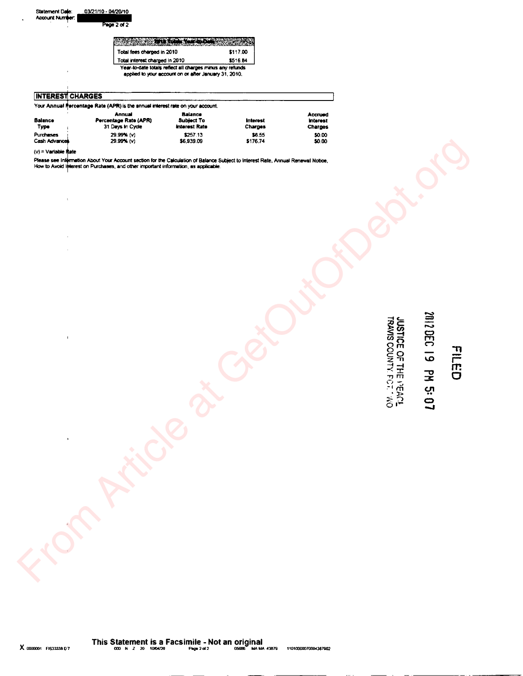| Total fees charged in 2010      | \$117.00 |
|---------------------------------|----------|
| Total interest observed in 2010 |          |

| <b>INTEREST CHARGES</b> |  |
|-------------------------|--|
|                         |  |

 $\bar{\Gamma}$ 

 $\hat{\boldsymbol{\epsilon}}$  $\hat{\mathcal{L}}$ 

 $\bar{\Gamma}$ 

 $\overline{\phantom{a}}$ 

| Your Annual Percentage Rate (APR) is the annual interest rate on your account. |                                                     |                                               |                            |                                              |  |  |
|--------------------------------------------------------------------------------|-----------------------------------------------------|-----------------------------------------------|----------------------------|----------------------------------------------|--|--|
| <b>Balance</b><br>Туре                                                         | Annual<br>Percentage Rate (APR)<br>31 Days In Cycle | Balance<br><b>Subject To</b><br>Interest Rate | <b>Interest</b><br>Charges | Accrued<br><b>Interest</b><br><b>Charges</b> |  |  |
| Purchases<br>Cash Advances                                                     | 29.99% (v)<br>29.99% (v)                            | \$257.13<br>\$6.939.09                        | \$6.55<br>\$176.74         | \$0.00<br>\$0.00                             |  |  |

Year-to-date totals reflect all charges minus any refunds

applied to your account on or after January 31, 2010.

\$117.00 \$516.84

٦

 $(v)$  = Variable Rate

Please see Information About Your Account section for the Calculation of Balance Subject to Interest Rate, Annual Renewal Notice,<br>How to Avoid Iplerest on Purchases, and other important information, as applicable.

# 2012 DEC 19 PM 5:07

**JUSTICE OF THE PEACE TRACE**